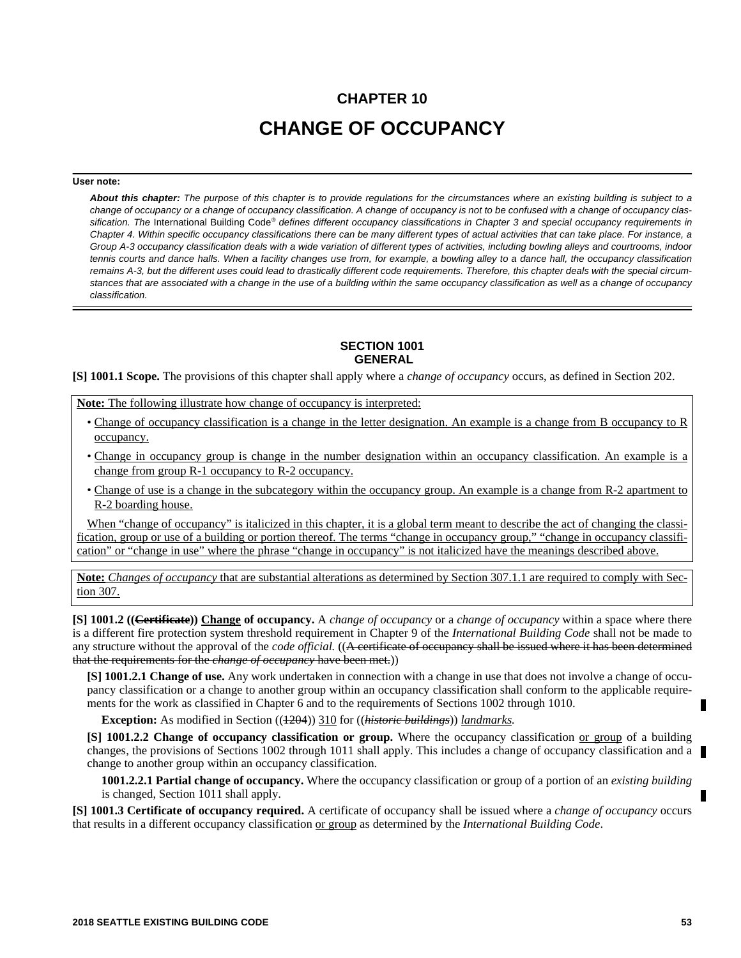# **CHAPTER 10 CHANGE OF OCCUPANCY**

#### **User note:**

*About this chapter: The purpose of this chapter is to provide regulations for the circumstances where an existing building is subject to a change of occupancy or a change of occupancy classification. A change of occupancy is not to be confused with a change of occupancy clas*sification. The International Building Code<sup>®</sup> defines different occupancy classifications in Chapter 3 and special occupancy requirements in *Chapter 4. Within specific occupancy classifications there can be many different types of actual activities that can take place. For instance, a Group A-3 occupancy classification deals with a wide variation of different types of activities, including bowling alleys and courtrooms, indoor tennis courts and dance halls. When a facility changes use from, for example, a bowling alley to a dance hall, the occupancy classification remains A-3, but the different uses could lead to drastically different code requirements. Therefore, this chapter deals with the special circumstances that are associated with a change in the use of a building within the same occupancy classification as well as a change of occupancy classification.*

#### **SECTION 1001 GENERAL**

**[S] 1001.1 Scope.** The provisions of this chapter shall apply where a *change of occupancy* occurs, as defined in Section 202.

**Note:** The following illustrate how change of occupancy is interpreted:

- Change of occupancy classification is a change in the letter designation. An example is a change from B occupancy to R occupancy.
- Change in occupancy group is change in the number designation within an occupancy classification. An example is a change from group R-1 occupancy to R-2 occupancy.
- Change of use is a change in the subcategory within the occupancy group. An example is a change from R-2 apartment to R-2 boarding house.

When "change of occupancy" is italicized in this chapter, it is a global term meant to describe the act of changing the classification, group or use of a building or portion thereof. The terms "change in occupancy group," "change in occupancy classification" or "change in use" where the phrase "change in occupancy" is not italicized have the meanings described above.

**Note:** *Changes of occupancy* that are substantial alterations as determined by Section 307.1.1 are required to comply with Section 307.

**[S] 1001.2 ((Certificate)) Change of occupancy.** A *change of occupancy* or a *change of occupancy* within a space where there is a different fire protection system threshold requirement in Chapter 9 of the *International Building Code* shall not be made to any structure without the approval of the *code official.* ((A certificate of occupancy shall be issued where it has been determined that the requirements for the *change of occupancy* have been met.))

**[S] 1001.2.1 Change of use.** Any work undertaken in connection with a change in use that does not involve a change of occupancy classification or a change to another group within an occupancy classification shall conform to the applicable requirements for the work as classified in Chapter 6 and to the requirements of Sections 1002 through 1010.

**Exception:** As modified in Section (( $\frac{1204}{204}$ )) 310 for ((*historic buildings*)) *landmarks.* 

**[S] 1001.2.2 Change of occupancy classification or group.** Where the occupancy classification or group of a building changes, the provisions of Sections 1002 through 1011 shall apply. This includes a change of occupancy classification and a change to another group within an occupancy classification.

**1001.2.2.1 Partial change of occupancy.** Where the occupancy classification or group of a portion of an *existing building* is changed, Section 1011 shall apply.

**[S] 1001.3 Certificate of occupancy required.** A certificate of occupancy shall be issued where a *change of occupancy* occurs that results in a different occupancy classification or group as determined by the *International Building Code*.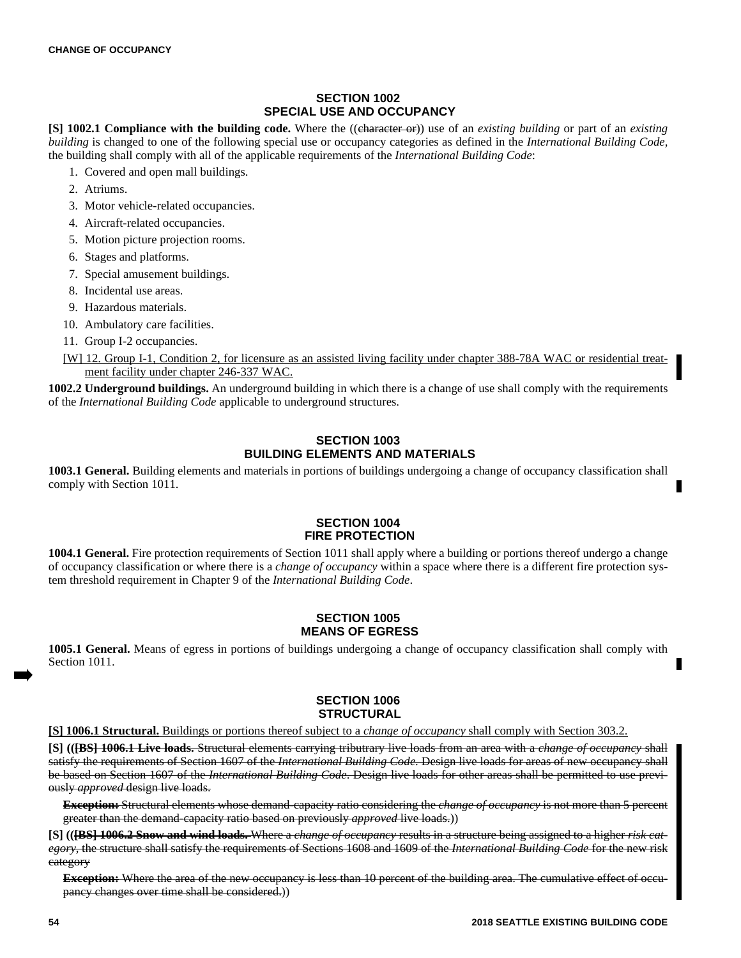## **SECTION 1002 SPECIAL USE AND OCCUPANCY**

**[S] 1002.1 Compliance with the building code.** Where the ((character or)) use of an *existing building* or part of an *existing building* is changed to one of the following special use or occupancy categories as defined in the *International Building Code,* the building shall comply with all of the applicable requirements of the *International Building Code*:

- 1. Covered and open mall buildings.
- 2. Atriums.
- 3. Motor vehicle-related occupancies.
- 4. Aircraft-related occupancies.
- 5. Motion picture projection rooms.
- 6. Stages and platforms.
- 7. Special amusement buildings.
- 8. Incidental use areas.
- 9. Hazardous materials.
- 10. Ambulatory care facilities.
- 11. Group I-2 occupancies.
- [W] 12. Group I-1, Condition 2, for licensure as an assisted living facility under chapter 388-78A WAC or residential treatment facility under chapter 246-337 WAC.

**1002.2 Underground buildings.** An underground building in which there is a change of use shall comply with the requirements of the *International Building Code* applicable to underground structures.

### **SECTION 1003 BUILDING ELEMENTS AND MATERIALS**

**1003.1 General.** Building elements and materials in portions of buildings undergoing a change of occupancy classification shall comply with Section 1011.

### **SECTION 1004 FIRE PROTECTION**

**1004.1 General.** Fire protection requirements of Section 1011 shall apply where a building or portions thereof undergo a change of occupancy classification or where there is a *change of occupancy* within a space where there is a different fire protection system threshold requirement in Chapter 9 of the *International Building Code*.

## **SECTION 1005 MEANS OF EGRESS**

**1005.1 General.** Means of egress in portions of buildings undergoing a change of occupancy classification shall comply with Section 1011.

### **SECTION 1006 STRUCTURAL**

**[S] 1006.1 Structural.** Buildings or portions thereof subject to a *change of occupancy* shall comply with Section 303.2.

**[S] (([BS] 1006.1 Live loads.** Structural elements carrying tributrary live loads from an area with a *change of occupancy* shall satisfy the requirements of Section 1607 of the *International Building Code*. Design live loads for areas of new occupancy shall be based on Section 1607 of the *International Building Code*. Design live loads for other areas shall be permitted to use previously *approved* design live loads.

**Exception:** Structural elements whose demand-capacity ratio considering the *change of occupancy* is not more than 5 percent greater than the demand-capacity ratio based on previously *approved* live loads.))

**[S] (([BS] 1006.2 Snow and wind loads.** Where a *change of occupancy* results in a structure being assigned to a higher *risk category*, the structure shall satisfy the requirements of Sections 1608 and 1609 of the *International Building Code* for the new risk category

**Exception:** Where the area of the new occupancy is less than 10 percent of the building area. The cumulative effect of occupancy changes over time shall be considered.))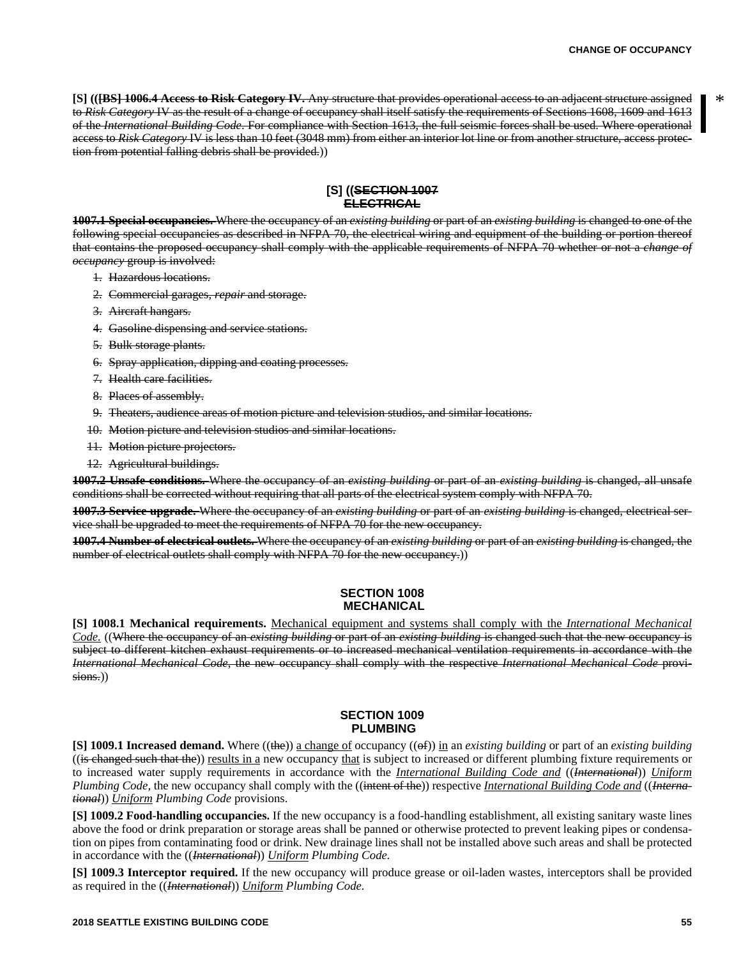**[S] (([BS] 1006.4 Access to Risk Category IV.** Any structure that provides operational access to an adjacent structure assigned to *Risk Category* IV as the result of a change of occupancy shall itself satisfy the requirements of Sections 1608, 1609 and 1613 of the *International Building Code*. For compliance with Section 1613, the full seismic forces shall be used. Where operational access to *Risk Category* IV is less than 10 feet (3048 mm) from either an interior lot line or from another structure, access protection from potential falling debris shall be provided.))

#### **[S] ((SECTION 1007 ELECTRICAL**

**1007.1 Special occupancies.** Where the occupancy of an *existing building* or part of an *existing building* is changed to one of the following special occupancies as described in NFPA 70, the electrical wiring and equipment of the building or portion thereof that contains the proposed occupancy shall comply with the applicable requirements of NFPA 70 whether or not a *change of occupancy* group is involved:

- 1. Hazardous locations.
- 2. Commercial garages, *repair* and storage.
- 3. Aircraft hangars.
- 4. Gasoline dispensing and service stations.
- 5. Bulk storage plants.
- 6. Spray application, dipping and coating processes.
- 7. Health care facilities.
- 8. Places of assembly.
- 9. Theaters, audience areas of motion picture and television studios, and similar locations.
- 10. Motion picture and television studios and similar locations.
- 11. Motion picture projectors.
- 12. Agricultural buildings.

**1007.2 Unsafe conditions.** Where the occupancy of an *existing building* or part of an *existing building* is changed, all unsafe conditions shall be corrected without requiring that all parts of the electrical system comply with NFPA 70.

**1007.3 Service upgrade.** Where the occupancy of an *existing building* or part of an *existing building* is changed, electrical service shall be upgraded to meet the requirements of NFPA 70 for the new occupancy.

**1007.4 Number of electrical outlets.** Where the occupancy of an *existing building* or part of an *existing building* is changed, the number of electrical outlets shall comply with NFPA 70 for the new occupancy.)

### **SECTION 1008 MECHANICAL**

**[S] 1008.1 Mechanical requirements.** Mechanical equipment and systems shall comply with the *International Mechanical Code.* ((Where the occupancy of an *existing building* or part of an *existing building* is changed such that the new occupancy is subject to different kitchen exhaust requirements or to increased mechanical ventilation requirements in accordance with the *International Mechanical Code*, the new occupancy shall comply with the respective *International Mechanical Code* provisions.))

#### **SECTION 1009 PLUMBING**

**[S] 1009.1 Increased demand.** Where ((the)) <u>a change of</u> occupancy (( $\Theta$ )) in an *existing building* or part of an *existing building*  $((is *changed such that the*)) results in a new occupancy that is subject to increased or different planning fixture requirements or$ to increased water supply requirements in accordance with the *International Building Code and* ((*International*)) *Uniform Plumbing Code,* the new occupancy shall comply with the ((intent of the)) respective *International Building Code and* ((*International*)) *Uniform Plumbing Code* provisions.

**[S] 1009.2 Food-handling occupancies.** If the new occupancy is a food-handling establishment, all existing sanitary waste lines above the food or drink preparation or storage areas shall be panned or otherwise protected to prevent leaking pipes or condensation on pipes from contaminating food or drink. New drainage lines shall not be installed above such areas and shall be protected in accordance with the ((*International*)) *Uniform Plumbing Code.*

**[S] 1009.3 Interceptor required.** If the new occupancy will produce grease or oil-laden wastes, interceptors shall be provided as required in the ((*International*)) *Uniform Plumbing Code.*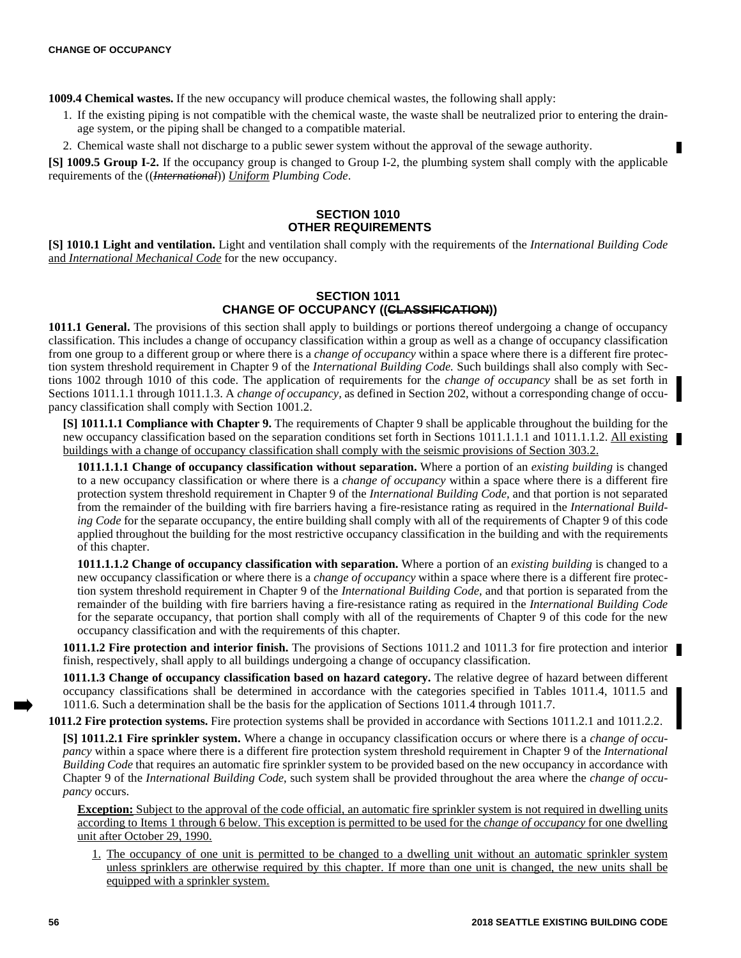**1009.4 Chemical wastes.** If the new occupancy will produce chemical wastes, the following shall apply:

- 1. If the existing piping is not compatible with the chemical waste, the waste shall be neutralized prior to entering the drainage system, or the piping shall be changed to a compatible material.
- 2. Chemical waste shall not discharge to a public sewer system without the approval of the sewage authority.

**[S] 1009.5 Group I-2.** If the occupancy group is changed to Group I-2, the plumbing system shall comply with the applicable requirements of the ((*International*)) *Uniform Plumbing Code*.

## **SECTION 1010 OTHER REQUIREMENTS**

**[S] 1010.1 Light and ventilation.** Light and ventilation shall comply with the requirements of the *International Building Code* and *International Mechanical Code* for the new occupancy.

#### **SECTION 1011 CHANGE OF OCCUPANCY ((CLASSIFICATION))**

**1011.1 General.** The provisions of this section shall apply to buildings or portions thereof undergoing a change of occupancy classification. This includes a change of occupancy classification within a group as well as a change of occupancy classification from one group to a different group or where there is a *change of occupancy* within a space where there is a different fire protection system threshold requirement in Chapter 9 of the *International Building Code.* Such buildings shall also comply with Sections 1002 through 1010 of this code. The application of requirements for the *change of occupancy* shall be as set forth in Sections 1011.1.1 through 1011.1.3. A *change of occupancy,* as defined in Section 202, without a corresponding change of occupancy classification shall comply with Section 1001.2.

**[S] 1011.1.1 Compliance with Chapter 9.** The requirements of Chapter 9 shall be applicable throughout the building for the new occupancy classification based on the separation conditions set forth in Sections 1011.1.1.1 and 1011.1.1.2. All existing buildings with a change of occupancy classification shall comply with the seismic provisions of Section 303.2.

**1011.1.1.1 Change of occupancy classification without separation.** Where a portion of an *existing building* is changed to a new occupancy classification or where there is a *change of occupancy* within a space where there is a different fire protection system threshold requirement in Chapter 9 of the *International Building Code,* and that portion is not separated from the remainder of the building with fire barriers having a fire-resistance rating as required in the *International Building Code* for the separate occupancy, the entire building shall comply with all of the requirements of Chapter 9 of this code applied throughout the building for the most restrictive occupancy classification in the building and with the requirements of this chapter.

**1011.1.1.2 Change of occupancy classification with separation.** Where a portion of an *existing building* is changed to a new occupancy classification or where there is a *change of occupancy* within a space where there is a different fire protection system threshold requirement in Chapter 9 of the *International Building Code,* and that portion is separated from the remainder of the building with fire barriers having a fire-resistance rating as required in the *International Building Code* for the separate occupancy, that portion shall comply with all of the requirements of Chapter 9 of this code for the new occupancy classification and with the requirements of this chapter.

**1011.1.2 Fire protection and interior finish.** The provisions of Sections 1011.2 and 1011.3 for fire protection and interior finish, respectively, shall apply to all buildings undergoing a change of occupancy classification.

**1011.1.3 Change of occupancy classification based on hazard category.** The relative degree of hazard between different occupancy classifications shall be determined in accordance with the categories specified in Tables 1011.4, 1011.5 and 1011.6. Such a determination shall be the basis for the application of Sections 1011.4 through 1011.7.

**1011.2 Fire protection systems.** Fire protection systems shall be provided in accordance with Sections 1011.2.1 and 1011.2.2.

**[S] 1011.2.1 Fire sprinkler system.** Where a change in occupancy classification occurs or where there is a *change of occupancy* within a space where there is a different fire protection system threshold requirement in Chapter 9 of the *International Building Code* that requires an automatic fire sprinkler system to be provided based on the new occupancy in accordance with Chapter 9 of the *International Building Code*, such system shall be provided throughout the area where the *change of occupancy* occurs.

**Exception:** Subject to the approval of the code official, an automatic fire sprinkler system is not required in dwelling units according to Items 1 through 6 below. This exception is permitted to be used for the *change of occupancy* for one dwelling unit after October 29, 1990.

1. The occupancy of one unit is permitted to be changed to a dwelling unit without an automatic sprinkler system unless sprinklers are otherwise required by this chapter. If more than one unit is changed, the new units shall be equipped with a sprinkler system.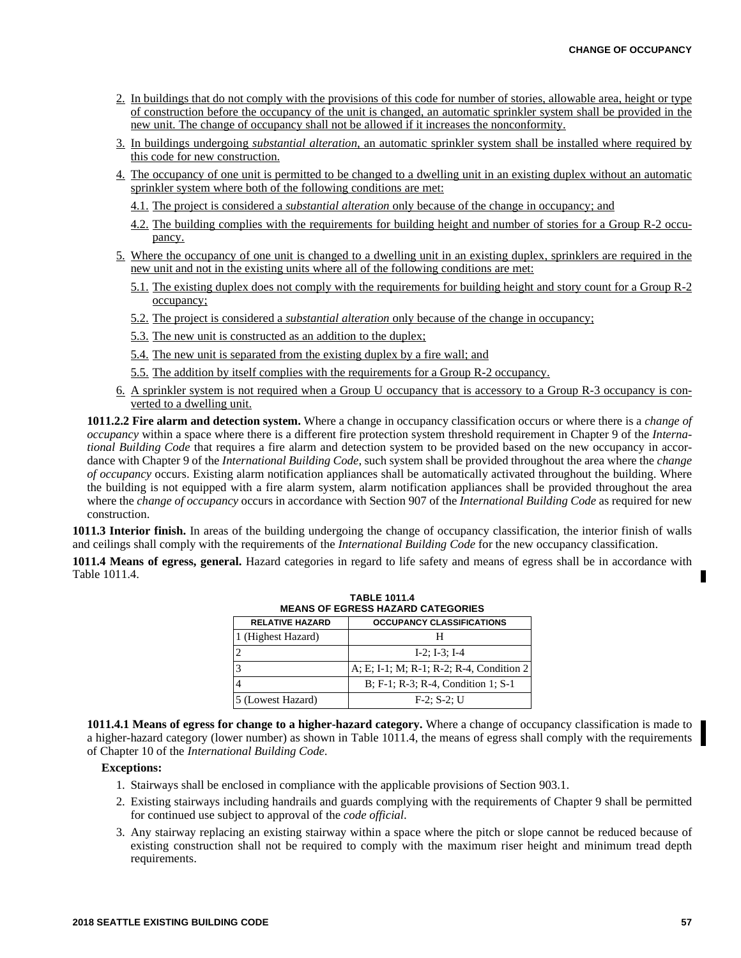- 2. In buildings that do not comply with the provisions of this code for number of stories, allowable area, height or type of construction before the occupancy of the unit is changed, an automatic sprinkler system shall be provided in the new unit. The change of occupancy shall not be allowed if it increases the nonconformity.
- 3. In buildings undergoing *substantial alteration,* an automatic sprinkler system shall be installed where required by this code for new construction.
- 4. The occupancy of one unit is permitted to be changed to a dwelling unit in an existing duplex without an automatic sprinkler system where both of the following conditions are met:
	- 4.1. The project is considered a *substantial alteration* only because of the change in occupancy; and
	- 4.2. The building complies with the requirements for building height and number of stories for a Group R-2 occupancy.
- 5. Where the occupancy of one unit is changed to a dwelling unit in an existing duplex, sprinklers are required in the new unit and not in the existing units where all of the following conditions are met:
	- 5.1. The existing duplex does not comply with the requirements for building height and story count for a Group R-2 occupancy;
	- 5.2. The project is considered a *substantial alteration* only because of the change in occupancy;
	- 5.3. The new unit is constructed as an addition to the duplex;
	- 5.4. The new unit is separated from the existing duplex by a fire wall; and
	- 5.5. The addition by itself complies with the requirements for a Group R-2 occupancy.
- 6. A sprinkler system is not required when a Group U occupancy that is accessory to a Group R-3 occupancy is converted to a dwelling unit.

**1011.2.2 Fire alarm and detection system.** Where a change in occupancy classification occurs or where there is a *change of occupancy* within a space where there is a different fire protection system threshold requirement in Chapter 9 of the *International Building Code* that requires a fire alarm and detection system to be provided based on the new occupancy in accordance with Chapter 9 of the *International Building Code*, such system shall be provided throughout the area where the *change of occupancy* occurs. Existing alarm notification appliances shall be automatically activated throughout the building. Where the building is not equipped with a fire alarm system, alarm notification appliances shall be provided throughout the area where the *change of occupancy* occurs in accordance with Section 907 of the *International Building Code* as required for new construction.

**1011.3 Interior finish.** In areas of the building undergoing the change of occupancy classification, the interior finish of walls and ceilings shall comply with the requirements of the *International Building Code* for the new occupancy classification.

**1011.4 Means of egress, general.** Hazard categories in regard to life safety and means of egress shall be in accordance with Table 1011.4.

**TABLE 1011.4**

| 1895 IVII.T<br><b>MEANS OF EGRESS HAZARD CATEGORIES</b> |                                          |
|---------------------------------------------------------|------------------------------------------|
| <b>RELATIVE HAZARD</b>                                  | <b>OCCUPANCY CLASSIFICATIONS</b>         |
| 1 (Highest Hazard)                                      | н                                        |
| 2                                                       | $I-2: I-3: I-4$                          |
| $\overline{3}$                                          | A; E; I-1; M; R-1; R-2; R-4, Condition 2 |
| $\overline{4}$                                          | B; F-1; R-3; R-4, Condition 1; S-1       |
| 5 (Lowest Hazard)                                       | $F-2$ ; $S-2$ ; U                        |

**1011.4.1 Means of egress for change to a higher-hazard category.** Where a change of occupancy classification is made to a higher-hazard category (lower number) as shown in Table 1011.4, the means of egress shall comply with the requirements of Chapter 10 of the *International Building Code*.

#### **Exceptions:**

- 1. Stairways shall be enclosed in compliance with the applicable provisions of Section 903.1.
- 2. Existing stairways including handrails and guards complying with the requirements of Chapter 9 shall be permitted for continued use subject to approval of the *code official*.
- 3. Any stairway replacing an existing stairway within a space where the pitch or slope cannot be reduced because of existing construction shall not be required to comply with the maximum riser height and minimum tread depth requirements.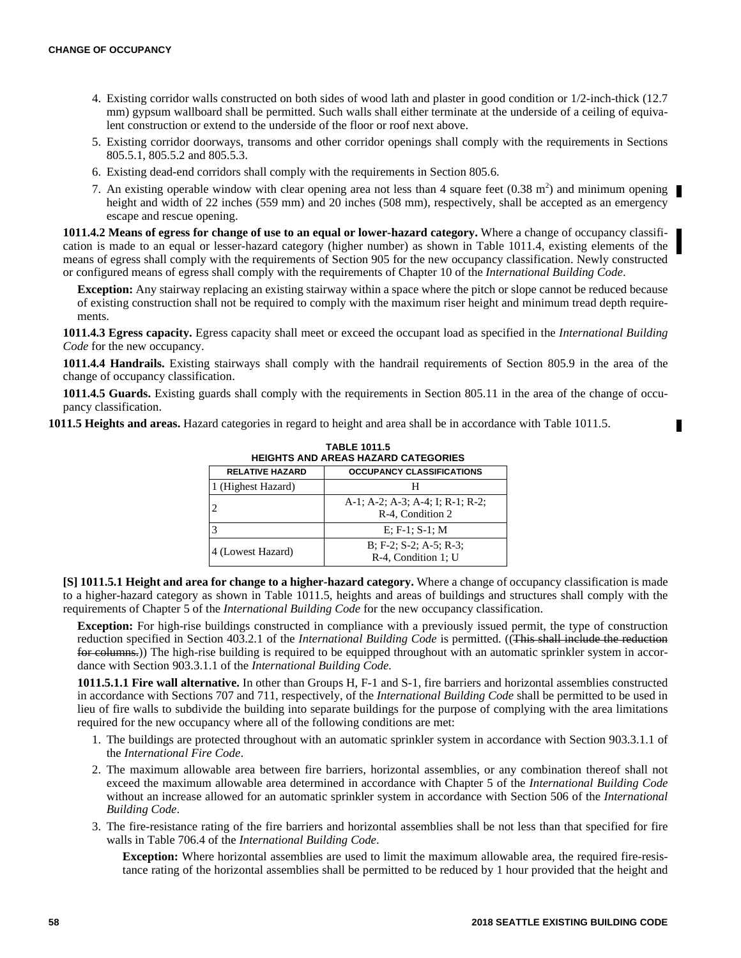- 4. Existing corridor walls constructed on both sides of wood lath and plaster in good condition or 1/2-inch-thick (12.7 mm) gypsum wallboard shall be permitted. Such walls shall either terminate at the underside of a ceiling of equivalent construction or extend to the underside of the floor or roof next above.
- 5. Existing corridor doorways, transoms and other corridor openings shall comply with the requirements in Sections 805.5.1, 805.5.2 and 805.5.3.
- 6. Existing dead-end corridors shall comply with the requirements in Section 805.6.
- 7. An existing operable window with clear opening area not less than 4 square feet  $(0.38 \text{ m}^2)$  and minimum opening height and width of 22 inches (559 mm) and 20 inches (508 mm), respectively, shall be accepted as an emergency escape and rescue opening.

**1011.4.2 Means of egress for change of use to an equal or lower-hazard category.** Where a change of occupancy classification is made to an equal or lesser-hazard category (higher number) as shown in Table 1011.4, existing elements of the means of egress shall comply with the requirements of Section 905 for the new occupancy classification. Newly constructed or configured means of egress shall comply with the requirements of Chapter 10 of the *International Building Code*.

**Exception:** Any stairway replacing an existing stairway within a space where the pitch or slope cannot be reduced because of existing construction shall not be required to comply with the maximum riser height and minimum tread depth requirements.

**1011.4.3 Egress capacity.** Egress capacity shall meet or exceed the occupant load as specified in the *International Building Code* for the new occupancy.

**1011.4.4 Handrails.** Existing stairways shall comply with the handrail requirements of Section 805.9 in the area of the change of occupancy classification.

**1011.4.5 Guards.** Existing guards shall comply with the requirements in Section 805.11 in the area of the change of occupancy classification.

**1011.5 Heights and areas.** Hazard categories in regard to height and area shall be in accordance with Table 1011.5.

| <b>TABLE 1011.5</b><br><b>HEIGHTS AND AREAS HAZARD CATEGORIES</b> |                                                      |
|-------------------------------------------------------------------|------------------------------------------------------|
| <b>RELATIVE HAZARD</b>                                            | <b>OCCUPANCY CLASSIFICATIONS</b>                     |
| 1 (Highest Hazard)                                                |                                                      |
|                                                                   | A-1; A-2; A-3; A-4; I; R-1; R-2;<br>R-4, Condition 2 |
|                                                                   | $E: F-1: S-1: M$                                     |
| 4 (Lowest Hazard)                                                 | $B; F-2; S-2; A-5; R-3;$<br>R-4, Condition 1; U      |

**[S] 1011.5.1 Height and area for change to a higher-hazard category.** Where a change of occupancy classification is made to a higher-hazard category as shown in Table 1011.5, heights and areas of buildings and structures shall comply with the requirements of Chapter 5 of the *International Building Code* for the new occupancy classification.

**Exception:** For high-rise buildings constructed in compliance with a previously issued permit, the type of construction reduction specified in Section 403.2.1 of the *International Building Code* is permitted. ((This shall include the reduction for columns.)) The high-rise building is required to be equipped throughout with an automatic sprinkler system in accordance with Section 903.3.1.1 of the *International Building Code.*

**1011.5.1.1 Fire wall alternative.** In other than Groups H, F-1 and S-1, fire barriers and horizontal assemblies constructed in accordance with Sections 707 and 711, respectively, of the *International Building Code* shall be permitted to be used in lieu of fire walls to subdivide the building into separate buildings for the purpose of complying with the area limitations required for the new occupancy where all of the following conditions are met:

- 1. The buildings are protected throughout with an automatic sprinkler system in accordance with Section 903.3.1.1 of the *International Fire Code*.
- 2. The maximum allowable area between fire barriers, horizontal assemblies, or any combination thereof shall not exceed the maximum allowable area determined in accordance with Chapter 5 of the *International Building Code* without an increase allowed for an automatic sprinkler system in accordance with Section 506 of the *International Building Code*.
- 3. The fire-resistance rating of the fire barriers and horizontal assemblies shall be not less than that specified for fire walls in Table 706.4 of the *International Building Code*.

**Exception:** Where horizontal assemblies are used to limit the maximum allowable area, the required fire-resistance rating of the horizontal assemblies shall be permitted to be reduced by 1 hour provided that the height and

П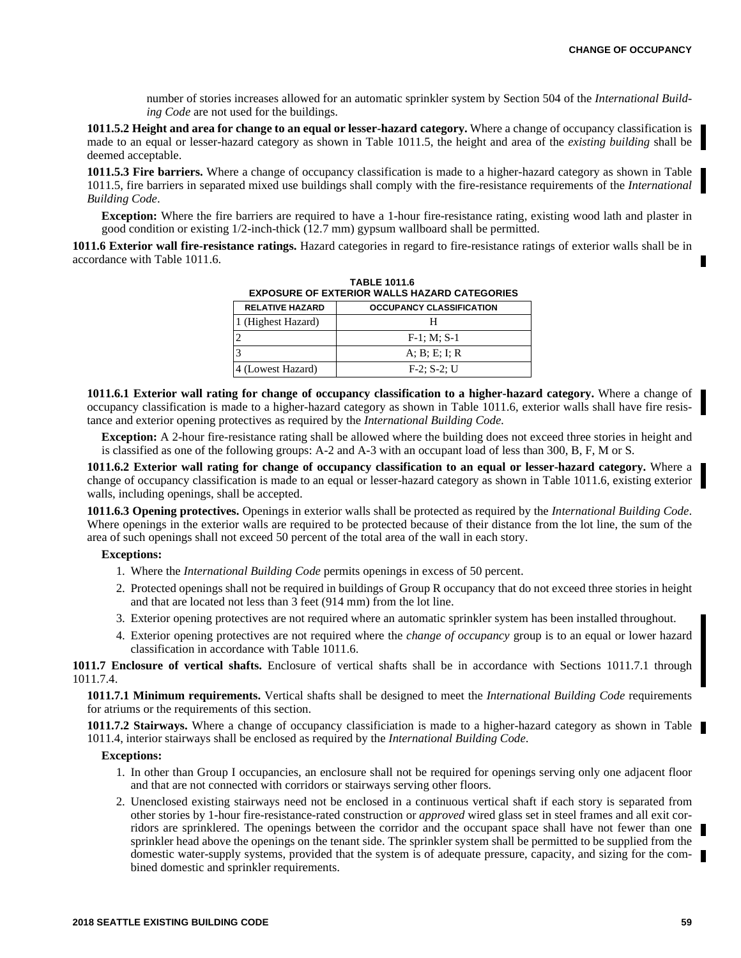number of stories increases allowed for an automatic sprinkler system by Section 504 of the *International Building Code* are not used for the buildings.

**1011.5.2 Height and area for change to an equal or lesser-hazard category.** Where a change of occupancy classification is made to an equal or lesser-hazard category as shown in Table 1011.5, the height and area of the *existing building* shall be deemed acceptable.

**1011.5.3 Fire barriers.** Where a change of occupancy classification is made to a higher-hazard category as shown in Table 1011.5, fire barriers in separated mixed use buildings shall comply with the fire-resistance requirements of the *International Building Code*.

**Exception:** Where the fire barriers are required to have a 1-hour fire-resistance rating, existing wood lath and plaster in good condition or existing 1/2-inch-thick (12.7 mm) gypsum wallboard shall be permitted.

**1011.6 Exterior wall fire-resistance ratings.** Hazard categories in regard to fire-resistance ratings of exterior walls shall be in accordance with Table 1011.6.

| EXPOSURE OF EXTERIOR WALLS HAZARD CATEGORIES |                                 |
|----------------------------------------------|---------------------------------|
| <b>RELATIVE HAZARD</b>                       | <b>OCCUPANCY CLASSIFICATION</b> |
| 1 (Highest Hazard)                           | н                               |
| 2                                            | $F-1: M: S-1$                   |
| 3                                            | A; B; E; I; R                   |
| 4 (Lowest Hazard)                            | $F-2: S-2: U$                   |

**TABLE 1011.6 EXPOSURE OF EXTERIOR WALLS HAZARD CATEGORIES**

**1011.6.1 Exterior wall rating for change of occupancy classification to a higher-hazard category.** Where a change of occupancy classification is made to a higher-hazard category as shown in Table 1011.6, exterior walls shall have fire resistance and exterior opening protectives as required by the *International Building Code.*

**Exception:** A 2-hour fire-resistance rating shall be allowed where the building does not exceed three stories in height and is classified as one of the following groups: A-2 and A-3 with an occupant load of less than 300, B, F, M or S.

**1011.6.2 Exterior wall rating for change of occupancy classification to an equal or lesser-hazard category.** Where a change of occupancy classification is made to an equal or lesser-hazard category as shown in Table 1011.6, existing exterior walls, including openings, shall be accepted.

**1011.6.3 Opening protectives.** Openings in exterior walls shall be protected as required by the *International Building Code*. Where openings in the exterior walls are required to be protected because of their distance from the lot line, the sum of the area of such openings shall not exceed 50 percent of the total area of the wall in each story.

#### **Exceptions:**

- 1. Where the *International Building Code* permits openings in excess of 50 percent.
- 2. Protected openings shall not be required in buildings of Group R occupancy that do not exceed three stories in height and that are located not less than 3 feet (914 mm) from the lot line.
- 3. Exterior opening protectives are not required where an automatic sprinkler system has been installed throughout.
- 4. Exterior opening protectives are not required where the *change of occupancy* group is to an equal or lower hazard classification in accordance with Table 1011.6.

**1011.7 Enclosure of vertical shafts.** Enclosure of vertical shafts shall be in accordance with Sections 1011.7.1 through 1011.7.4.

**1011.7.1 Minimum requirements.** Vertical shafts shall be designed to meet the *International Building Code* requirements for atriums or the requirements of this section.

**1011.7.2 Stairways.** Where a change of occupancy classificiation is made to a higher-hazard category as shown in Table 1011.4, interior stairways shall be enclosed as required by the *International Building Code*.

#### **Exceptions:**

- 1. In other than Group I occupancies, an enclosure shall not be required for openings serving only one adjacent floor and that are not connected with corridors or stairways serving other floors.
- 2. Unenclosed existing stairways need not be enclosed in a continuous vertical shaft if each story is separated from other stories by 1-hour fire-resistance-rated construction or *approved* wired glass set in steel frames and all exit corridors are sprinklered. The openings between the corridor and the occupant space shall have not fewer than one sprinkler head above the openings on the tenant side. The sprinkler system shall be permitted to be supplied from the domestic water-supply systems, provided that the system is of adequate pressure, capacity, and sizing for the combined domestic and sprinkler requirements.